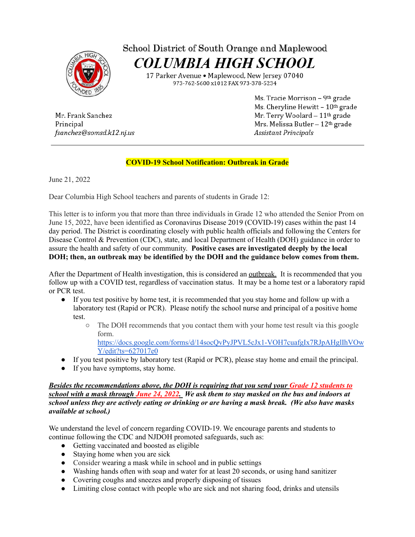

## School District of South Orange and Maplewood **COLUMBIA HIGH SCHOOL**

17 Parker Avenue • Maplewood, New Jersey 07040 973-762-5600 x1012 FAX 973-378-5234

Mr. Frank Sanchez Principal fsanchez@somsd.k12.nj.us Ms. Tracie Morrison - 9th grade Ms. Cheryline Hewitt - 10th grade Mr. Terry Woolard - 11th grade Mrs. Melissa Butler - 12th grade Assistant Principals

## **COVID-19 School Notification: Outbreak in Grade**

June 21, 2022

Dear Columbia High School teachers and parents of students in Grade 12:

This letter is to inform you that more than three individuals in Grade 12 who attended the Senior Prom on June 15, 2022, have been identified as Coronavirus Disease 2019 (COVID-19) cases within the past 14 day period. The District is coordinating closely with public health officials and following the Centers for Disease Control & Prevention (CDC), state, and local Department of Health (DOH) guidance in order to assure the health and safety of our community. **Positive cases are investigated deeply by the local DOH; then, an outbreak may be identified by the DOH and the guidance below comes from them.**

After the Department of Health investigation, this is considered an outbreak. It is recommended that you follow up with a COVID test, regardless of vaccination status. It may be a home test or a laboratory rapid or PCR test.

- If you test positive by home test, it is recommended that you stay home and follow up with a laboratory test (Rapid or PCR). Please notify the school nurse and principal of a positive home test.
	- The DOH recommends that you contact them with your home test result via this google form.

[https://docs.google.com/forms/d/14socQvPyJPVL5cJx1-VOH7cuafgIx7RJpAHglIhVOw](https://docs.google.com/forms/d/14socQvPyJPVL5cJx1-VOH7cuafgIx7RJpAHglIhVOwY/edit?ts=627017e0) [Y/edit?ts=627017e0](https://docs.google.com/forms/d/14socQvPyJPVL5cJx1-VOH7cuafgIx7RJpAHglIhVOwY/edit?ts=627017e0)

- If you test positive by laboratory test (Rapid or PCR), please stay home and email the principal.
- If you have symptoms, stay home.

## *Besides the recommendations above, the DOH is requiring that you send your Grade 12 students to* school with a mask through June 24, 2022. We ask them to stay masked on the bus and indoors at *school unless they are actively eating or drinking or are having a mask break. (We also have masks available at school.)*

We understand the level of concern regarding COVID-19. We encourage parents and students to continue following the CDC and NJDOH promoted safeguards, such as:

- Getting vaccinated and boosted as eligible
- Staying home when you are sick
- Consider wearing a mask while in school and in public settings
- Washing hands often with soap and water for at least 20 seconds, or using hand sanitizer
- Covering coughs and sneezes and properly disposing of tissues
- Limiting close contact with people who are sick and not sharing food, drinks and utensils